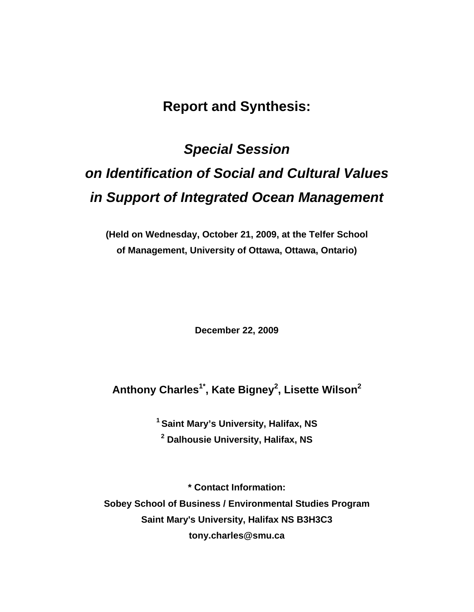# **Report and Synthesis:**

# *Special Session on Identification of Social and Cultural Values in Support of Integrated Ocean Management*

**(Held on Wednesday, October 21, 2009, at the Telfer School of Management, University of Ottawa, Ottawa, Ontario)** 

**December 22, 2009** 

# **Anthony Charles1\*, Kate Bigney2 , Lisette Wilson2**

**1 Saint Mary's University, Halifax, NS 2 Dalhousie University, Halifax, NS** 

**\* Contact Information: Sobey School of Business / Environmental Studies Program Saint Mary's University, Halifax NS B3H3C3 tony.charles@smu.ca**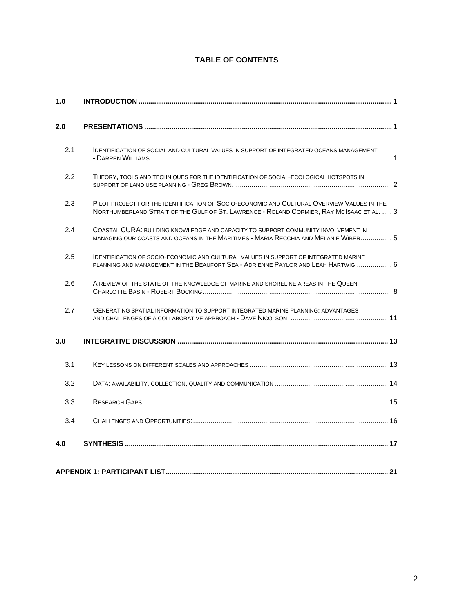## **TABLE OF CONTENTS**

| 1.0 |                                                                                                                                                                                         |  |
|-----|-----------------------------------------------------------------------------------------------------------------------------------------------------------------------------------------|--|
| 2.0 |                                                                                                                                                                                         |  |
| 2.1 | <b>IDENTIFICATION OF SOCIAL AND CULTURAL VALUES IN SUPPORT OF INTEGRATED OCEANS MANAGEMENT</b>                                                                                          |  |
| 2.2 | THEORY, TOOLS AND TECHNIQUES FOR THE IDENTIFICATION OF SOCIAL-ECOLOGICAL HOTSPOTS IN                                                                                                    |  |
| 2.3 | PILOT PROJECT FOR THE IDENTIFICATION OF SOCIO-ECONOMIC AND CULTURAL OVERVIEW VALUES IN THE<br>NORTHUMBERLAND STRAIT OF THE GULF OF ST. LAWRENCE - ROLAND CORMIER, RAY MCISAAC ET AL.  3 |  |
| 2.4 | COASTAL CURA: BUILDING KNOWLEDGE AND CAPACITY TO SUPPORT COMMUNITY INVOLVEMENT IN<br>MANAGING OUR COASTS AND OCEANS IN THE MARITIMES - MARIA RECCHIA AND MELANIE WIBER 5                |  |
| 2.5 | <b>IDENTIFICATION OF SOCIO-ECONOMIC AND CULTURAL VALUES IN SUPPORT OF INTEGRATED MARINE</b><br>PLANNING AND MANAGEMENT IN THE BEAUFORT SEA - ADRIENNE PAYLOR AND LEAH HARTWIG  6        |  |
| 2.6 | A REVIEW OF THE STATE OF THE KNOWLEDGE OF MARINE AND SHORELINE AREAS IN THE QUEEN                                                                                                       |  |
| 2.7 | <b>GENERATING SPATIAL INFORMATION TO SUPPORT INTEGRATED MARINE PLANNING: ADVANTAGES</b>                                                                                                 |  |
| 3.0 |                                                                                                                                                                                         |  |
| 3.1 |                                                                                                                                                                                         |  |
| 3.2 |                                                                                                                                                                                         |  |
| 3.3 |                                                                                                                                                                                         |  |
| 3.4 |                                                                                                                                                                                         |  |
| 4.0 |                                                                                                                                                                                         |  |
|     |                                                                                                                                                                                         |  |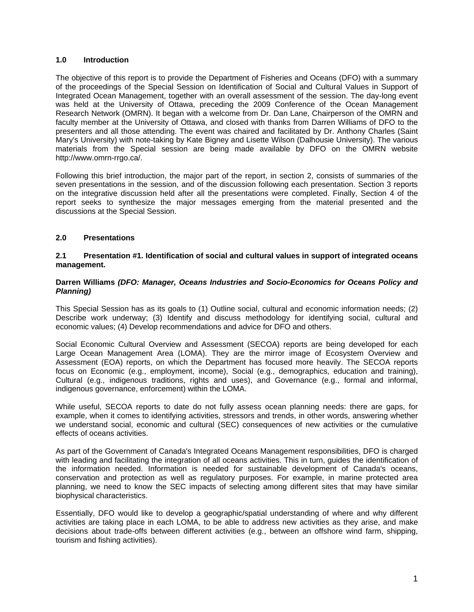#### <span id="page-2-0"></span>**1.0 Introduction**

The objective of this report is to provide the Department of Fisheries and Oceans (DFO) with a summary of the proceedings of the Special Session on Identification of Social and Cultural Values in Support of Integrated Ocean Management, together with an overall assessment of the session. The day-long event was held at the University of Ottawa, preceding the 2009 Conference of the Ocean Management Research Network (OMRN). It began with a welcome from Dr. Dan Lane, Chairperson of the OMRN and faculty member at the University of Ottawa, and closed with thanks from Darren Williams of DFO to the presenters and all those attending. The event was chaired and facilitated by Dr. Anthony Charles (Saint Mary's University) with note-taking by Kate Bigney and Lisette Wilson (Dalhousie University). The various materials from the Special session are being made available by DFO on the OMRN website http://www.omrn-rrgo.ca/.

Following this brief introduction, the major part of the report, in section 2, consists of summaries of the seven presentations in the session, and of the discussion following each presentation. Section 3 reports on the integrative discussion held after all the presentations were completed. Finally, Section 4 of the report seeks to synthesize the major messages emerging from the material presented and the discussions at the Special Session.

#### **2.0 Presentations**

#### <span id="page-2-1"></span>**2.1 Presentation #1. Identification of social and cultural values in support of integrated oceans management.**

#### **Darren Williams** *(DFO: Manager, Oceans Industries and Socio-Economics for Oceans Policy and Planning)*

This Special Session has as its goals to (1) Outline social, cultural and economic information needs; (2) Describe work underway; (3) Identify and discuss methodology for identifying social, cultural and economic values; (4) Develop recommendations and advice for DFO and others.

Social Economic Cultural Overview and Assessment (SECOA) reports are being developed for each Large Ocean Management Area (LOMA). They are the mirror image of Ecosystem Overview and Assessment (EOA) reports, on which the Department has focused more heavily. The SECOA reports focus on Economic (e.g., employment, income), Social (e.g., demographics, education and training), Cultural (e.g., indigenous traditions, rights and uses), and Governance (e.g., formal and informal, indigenous governance, enforcement) within the LOMA.

While useful, SECOA reports to date do not fully assess ocean planning needs: there are gaps, for example, when it comes to identifying activities, stressors and trends, in other words, answering whether we understand social, economic and cultural (SEC) consequences of new activities or the cumulative effects of oceans activities.

As part of the Government of Canada's Integrated Oceans Management responsibilities, DFO is charged with leading and facilitating the integration of all oceans activities. This in turn, guides the identification of the information needed. Information is needed for sustainable development of Canada's oceans, conservation and protection as well as regulatory purposes. For example, in marine protected area planning, we need to know the SEC impacts of selecting among different sites that may have similar biophysical characteristics.

Essentially, DFO would like to develop a geographic/spatial understanding of where and why different activities are taking place in each LOMA, to be able to address new activities as they arise, and make decisions about trade-offs between different activities (e.g., between an offshore wind farm, shipping, tourism and fishing activities).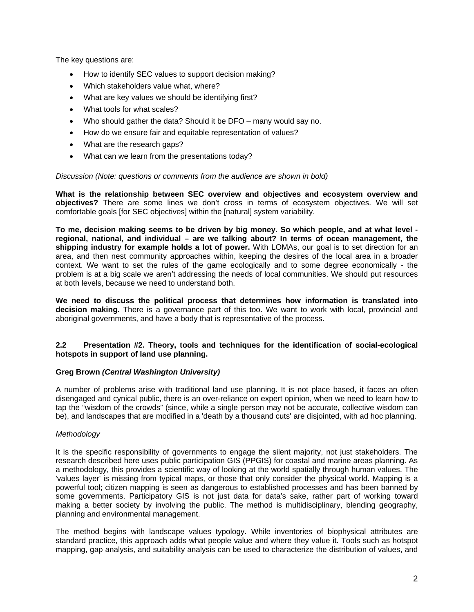The key questions are:

- How to identify SEC values to support decision making?
- Which stakeholders value what, where?
- What are key values we should be identifying first?
- What tools for what scales?
- Who should gather the data? Should it be DFO many would say no.
- How do we ensure fair and equitable representation of values?
- What are the research gaps?
- What can we learn from the presentations today?

#### *Discussion (Note: questions or comments from the audience are shown in bold)*

**What is the relationship between SEC overview and objectives and ecosystem overview and objectives?** There are some lines we don't cross in terms of ecosystem objectives. We will set comfortable goals [for SEC objectives] within the [natural] system variability.

**To me, decision making seems to be driven by big money. So which people, and at what level regional, national, and individual – are we talking about? In terms of ocean management, the shipping industry for example holds a lot of power.** With LOMAs, our goal is to set direction for an area, and then nest community approaches within, keeping the desires of the local area in a broader context. We want to set the rules of the game ecologically and to some degree economically - the problem is at a big scale we aren't addressing the needs of local communities. We should put resources at both levels, because we need to understand both.

**We need to discuss the political process that determines how information is translated into decision making.** There is a governance part of this too. We want to work with local, provincial and aboriginal governments, and have a body that is representative of the process.

#### **2.2 Presentation #2. Theory, tools and techniques for the identification of social-ecological hotspots in support of land use planning.**

#### **Greg Brown** *(Central Washington University)*

A number of problems arise with traditional land use planning. It is not place based, it faces an often disengaged and cynical public, there is an over-reliance on expert opinion, when we need to learn how to tap the "wisdom of the crowds" (since, while a single person may not be accurate, collective wisdom can be), and landscapes that are modified in a 'death by a thousand cuts' are disjointed, with ad hoc planning.

#### *Methodology*

It is the specific responsibility of governments to engage the silent majority, not just stakeholders. The research described here uses public participation GIS (PPGIS) for coastal and marine areas planning. As a methodology, this provides a scientific way of looking at the world spatially through human values. The 'values layer' is missing from typical maps, or those that only consider the physical world. Mapping is a powerful tool; citizen mapping is seen as dangerous to established processes and has been banned by some governments. Participatory GIS is not just data for data's sake, rather part of working toward making a better society by involving the public. The method is multidisciplinary, blending geography, planning and environmental management.

The method begins with landscape values typology. While inventories of biophysical attributes are standard practice, this approach adds what people value and where they value it. Tools such as hotspot mapping, gap analysis, and suitability analysis can be used to characterize the distribution of values, and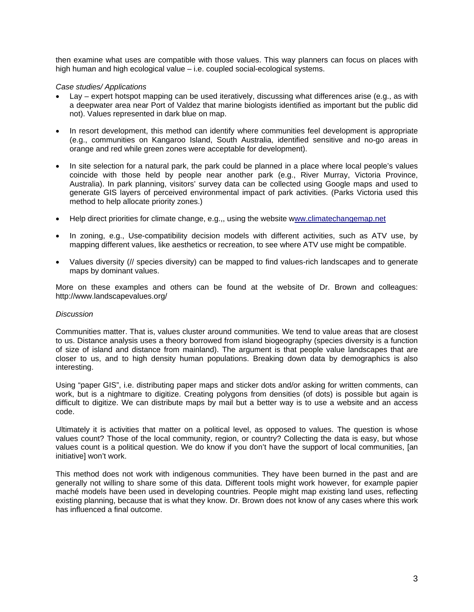then examine what uses are compatible with those values. This way planners can focus on places with high human and high ecological value – i.e. coupled social-ecological systems.

#### *Case studies/ Applications*

- Lay expert hotspot mapping can be used iteratively, discussing what differences arise (e.g., as with a deepwater area near Port of Valdez that marine biologists identified as important but the public did not). Values represented in dark blue on map.
- In resort development, this method can identify where communities feel development is appropriate (e.g., communities on Kangaroo Island, South Australia, identified sensitive and no-go areas in orange and red while green zones were acceptable for development).
- In site selection for a natural park, the park could be planned in a place where local people's values coincide with those held by people near another park (e.g., River Murray, Victoria Province, Australia). In park planning, visitors' survey data can be collected using Google maps and used to generate GIS layers of perceived environmental impact of park activities. (Parks Victoria used this method to help allocate priority zones.)
- Help direct priorities for climate change, e.g.,, using the website w[ww.climatechangemap.net](http://www.climatechangemap.net/)
- In zoning, e.g., Use-compatibility decision models with different activities, such as ATV use, by mapping different values, like aesthetics or recreation, to see where ATV use might be compatible.
- Values diversity (// species diversity) can be mapped to find values-rich landscapes and to generate maps by dominant values.

More on these examples and others can be found at the website of Dr. Brown and colleagues: http://www.landscapevalues.org/

#### *Discussion*

Communities matter. That is, values cluster around communities. We tend to value areas that are closest to us. Distance analysis uses a theory borrowed from island biogeography (species diversity is a function of size of island and distance from mainland). The argument is that people value landscapes that are closer to us, and to high density human populations. Breaking down data by demographics is also interesting.

Using "paper GIS", i.e. distributing paper maps and sticker dots and/or asking for written comments, can work, but is a nightmare to digitize. Creating polygons from densities (of dots) is possible but again is difficult to digitize. We can distribute maps by mail but a better way is to use a website and an access code.

Ultimately it is activities that matter on a political level, as opposed to values. The question is whose values count? Those of the local community, region, or country? Collecting the data is easy, but whose values count is a political question. We do know if you don't have the support of local communities, [an initiative] won't work.

This method does not work with indigenous communities. They have been burned in the past and are generally not willing to share some of this data. Different tools might work however, for example papier maché models have been used in developing countries. People might map existing land uses, reflecting existing planning, because that is what they know. Dr. Brown does not know of any cases where this work has influenced a final outcome.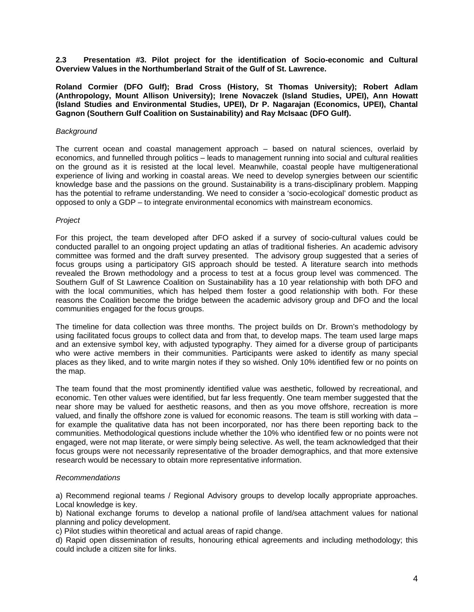**2.3 Presentation #3. Pilot project for the identification of Socio-economic and Cultural Overview Values in the Northumberland Strait of the Gulf of St. Lawrence.** 

**Roland Cormier (DFO Gulf); Brad Cross (History, St Thomas University); Robert Adlam (Anthropology, Mount Allison University); Irene Novaczek (Island Studies, UPEI), Ann Howatt (Island Studies and Environmental Studies, UPEI), Dr P. Nagarajan (Economics, UPEI), Chantal Gagnon (Southern Gulf Coalition on Sustainability) and Ray McIsaac (DFO Gulf).** 

#### *Background*

The current ocean and coastal management approach – based on natural sciences, overlaid by economics, and funnelled through politics – leads to management running into social and cultural realities on the ground as it is resisted at the local level. Meanwhile, coastal people have multigenerational experience of living and working in coastal areas. We need to develop synergies between our scientific knowledge base and the passions on the ground. Sustainability is a trans-disciplinary problem. Mapping has the potential to reframe understanding. We need to consider a 'socio-ecological' domestic product as opposed to only a GDP – to integrate environmental economics with mainstream economics.

#### *Project*

For this project, the team developed after DFO asked if a survey of socio-cultural values could be conducted parallel to an ongoing project updating an atlas of traditional fisheries. An academic advisory committee was formed and the draft survey presented. The advisory group suggested that a series of focus groups using a participatory GIS approach should be tested. A literature search into methods revealed the Brown methodology and a process to test at a focus group level was commenced. The Southern Gulf of St Lawrence Coalition on Sustainability has a 10 year relationship with both DFO and with the local communities, which has helped them foster a good relationship with both. For these reasons the Coalition become the bridge between the academic advisory group and DFO and the local communities engaged for the focus groups.

The timeline for data collection was three months. The project builds on Dr. Brown's methodology by using facilitated focus groups to collect data and from that, to develop maps. The team used large maps and an extensive symbol key, with adjusted typography. They aimed for a diverse group of participants who were active members in their communities. Participants were asked to identify as many special places as they liked, and to write margin notes if they so wished. Only 10% identified few or no points on the map.

The team found that the most prominently identified value was aesthetic, followed by recreational, and economic. Ten other values were identified, but far less frequently. One team member suggested that the near shore may be valued for aesthetic reasons, and then as you move offshore, recreation is more valued, and finally the offshore zone is valued for economic reasons. The team is still working with data – for example the qualitative data has not been incorporated, nor has there been reporting back to the communities. Methodological questions include whether the 10% who identified few or no points were not engaged, were not map literate, or were simply being selective. As well, the team acknowledged that their focus groups were not necessarily representative of the broader demographics, and that more extensive research would be necessary to obtain more representative information.

#### *Recommendations*

a) Recommend regional teams / Regional Advisory groups to develop locally appropriate approaches. Local knowledge is key.

b) National exchange forums to develop a national profile of land/sea attachment values for national planning and policy development.

c) Pilot studies within theoretical and actual areas of rapid change.

d) Rapid open dissemination of results, honouring ethical agreements and including methodology; this could include a citizen site for links.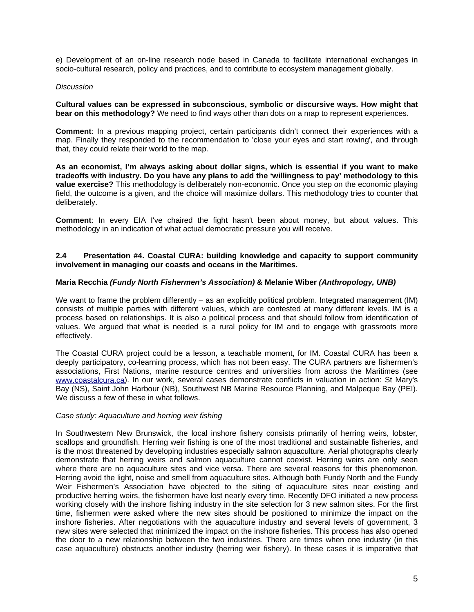e) Development of an on-line research node based in Canada to facilitate international exchanges in socio-cultural research, policy and practices, and to contribute to ecosystem management globally.

#### *Discussion*

**Cultural values can be expressed in subconscious, symbolic or discursive ways. How might that bear on this methodology?** We need to find ways other than dots on a map to represent experiences.

**Comment**: In a previous mapping project, certain participants didn't connect their experiences with a map. Finally they responded to the recommendation to 'close your eyes and start rowing', and through that, they could relate their world to the map.

**As an economist, I'm always asking about dollar signs, which is essential if you want to make tradeoffs with industry. Do you have any plans to add the 'willingness to pay' methodology to this value exercise?** This methodology is deliberately non-economic. Once you step on the economic playing field, the outcome is a given, and the choice will maximize dollars. This methodology tries to counter that deliberately.

**Comment**: In every EIA I've chaired the fight hasn't been about money, but about values. This methodology in an indication of what actual democratic pressure you will receive.

#### **2.4 Presentation #4. Coastal CURA: building knowledge and capacity to support community involvement in managing our coasts and oceans in the Maritimes.**

#### **Maria Recchia** *(Fundy North Fishermen's Association)* **& Melanie Wiber** *(Anthropology, UNB)*

We want to frame the problem differently – as an explicitly political problem. Integrated management (IM) consists of multiple parties with different values, which are contested at many different levels. IM is a process based on relationships. It is also a political process and that should follow from identification of values. We argued that what is needed is a rural policy for IM and to engage with grassroots more effectively.

The Coastal CURA project could be a lesson, a teachable moment, for IM. Coastal CURA has been a deeply participatory, co-learning process, which has not been easy. The CURA partners are fishermen's associations, First Nations, marine resource centres and universities from across the Maritimes (see [www.coastalcura.ca\)](http://www.coastalcura.ca/). In our work, several cases demonstrate conflicts in valuation in action: St Mary's Bay (NS), Saint John Harbour (NB), Southwest NB Marine Resource Planning, and Malpeque Bay (PEI). We discuss a few of these in what follows.

#### *Case study: Aquaculture and herring weir fishing*

In Southwestern New Brunswick, the local inshore fishery consists primarily of herring weirs, lobster, scallops and groundfish. Herring weir fishing is one of the most traditional and sustainable fisheries, and is the most threatened by developing industries especially salmon aquaculture. Aerial photographs clearly demonstrate that herring weirs and salmon aquaculture cannot coexist. Herring weirs are only seen where there are no aquaculture sites and vice versa. There are several reasons for this phenomenon. Herring avoid the light, noise and smell from aquaculture sites. Although both Fundy North and the Fundy Weir Fishermen's Association have objected to the siting of aquaculture sites near existing and productive herring weirs, the fishermen have lost nearly every time. Recently DFO initiated a new process working closely with the inshore fishing industry in the site selection for 3 new salmon sites. For the first time, fishermen were asked where the new sites should be positioned to minimize the impact on the inshore fisheries. After negotiations with the aquaculture industry and several levels of government, 3 new sites were selected that minimized the impact on the inshore fisheries. This process has also opened the door to a new relationship between the two industries. There are times when one industry (in this case aquaculture) obstructs another industry (herring weir fishery). In these cases it is imperative that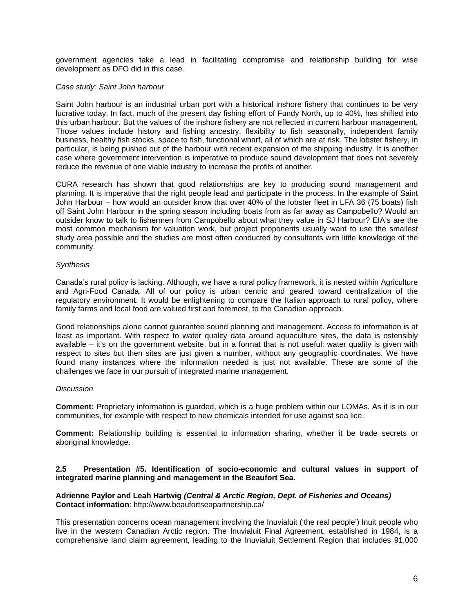government agencies take a lead in facilitating compromise and relationship building for wise development as DFO did in this case.

#### *Case study: Saint John harbour*

Saint John harbour is an industrial urban port with a historical inshore fishery that continues to be very lucrative today. In fact, much of the present day fishing effort of Fundy North, up to 40%, has shifted into this urban harbour. But the values of the inshore fishery are not reflected in current harbour management. Those values include history and fishing ancestry, flexibility to fish seasonally, independent family business, healthy fish stocks, space to fish, functional wharf, all of which are at risk. The lobster fishery, in particular, is being pushed out of the harbour with recent expansion of the shipping industry. It is another case where government intervention is imperative to produce sound development that does not severely reduce the revenue of one viable industry to increase the profits of another.

CURA research has shown that good relationships are key to producing sound management and planning. It is imperative that the right people lead and participate in the process. In the example of Saint John Harbour – how would an outsider know that over 40% of the lobster fleet in LFA 36 (75 boats) fish off Saint John Harbour in the spring season including boats from as far away as Campobello? Would an outsider know to talk to fishermen from Campobello about what they value in SJ Harbour? EIA's are the most common mechanism for valuation work, but project proponents usually want to use the smallest study area possible and the studies are most often conducted by consultants with little knowledge of the community.

#### *Synthesis*

Canada's rural policy is lacking. Although, we have a rural policy framework, it is nested within Agriculture and Agri-Food Canada. All of our policy is urban centric and geared toward centralization of the regulatory environment. It would be enlightening to compare the Italian approach to rural policy, where family farms and local food are valued first and foremost, to the Canadian approach.

Good relationships alone cannot guarantee sound planning and management. Access to information is at least as important. With respect to water quality data around aquaculture sites, the data is ostensibly available – it's on the government website, but in a format that is not useful: water quality is given with respect to sites but then sites are just given a number, without any geographic coordinates. We have found many instances where the information needed is just not available. These are some of the challenges we face in our pursuit of integrated marine management.

#### *Discussion*

**Comment:** Proprietary information is guarded, which is a huge problem within our LOMAs. As it is in our communities, for example with respect to new chemicals intended for use against sea lice.

**Comment:** Relationship building is essential to information sharing, whether it be trade secrets or aboriginal knowledge.

#### **2.5 Presentation #5. Identification of socio-economic and cultural values in support of integrated marine planning and management in the Beaufort Sea.**

#### **Adrienne Paylor and Leah Hartwig** *(Central & Arctic Region, Dept. of Fisheries and Oceans)*  **Contact information**: http://www.beaufortseapartnership.ca/

This presentation concerns ocean management involving the Inuvialuit ('the real people') Inuit people who live in the western Canadian Arctic region. The Inuvialuit Final Agreement, established in 1984, is a comprehensive land claim agreement, leading to the Inuvialuit Settlement Region that includes 91,000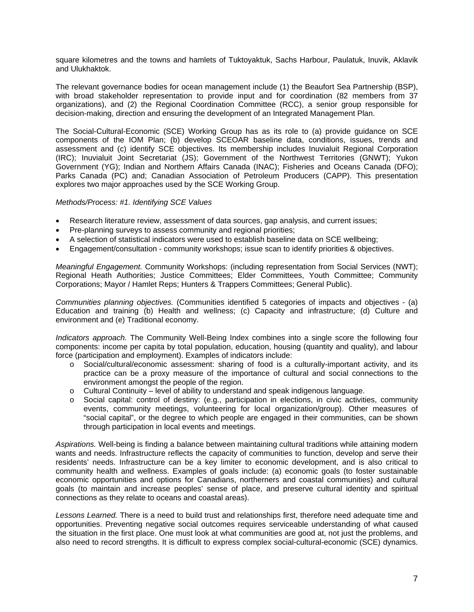square kilometres and the towns and hamlets of Tuktoyaktuk, Sachs Harbour, Paulatuk, Inuvik, Aklavik and Ulukhaktok.

The relevant governance bodies for ocean management include (1) the Beaufort Sea Partnership (BSP), with broad stakeholder representation to provide input and for coordination (82 members from 37 organizations), and (2) the Regional Coordination Committee (RCC), a senior group responsible for decision-making, direction and ensuring the development of an Integrated Management Plan.

The Social-Cultural-Economic (SCE) Working Group has as its role to (a) provide guidance on SCE components of the IOM Plan; (b) develop SCEOAR baseline data, conditions, issues, trends and assessment and (c) identify SCE objectives. Its membership includes Inuvialuit Regional Corporation (IRC); Inuvialuit Joint Secretariat (JS); Government of the Northwest Territories (GNWT); Yukon Government (YG); Indian and Northern Affairs Canada (INAC); Fisheries and Oceans Canada (DFO); Parks Canada (PC) and; Canadian Association of Petroleum Producers (CAPP). This presentation explores two major approaches used by the SCE Working Group.

#### *Methods/Process: #1. Identifying SCE Values*

- Research literature review, assessment of data sources, gap analysis, and current issues;
- Pre-planning surveys to assess community and regional priorities;
- A selection of statistical indicators were used to establish baseline data on SCE wellbeing;
- Engagement/consultation community workshops; issue scan to identify priorities & objectives.

*Meaningful Engagement.* Community Workshops: (including representation from Social Services (NWT); Regional Heath Authorities; Justice Committees; Elder Committees, Youth Committee; Community Corporations; Mayor / Hamlet Reps; Hunters & Trappers Committees; General Public).

*Communities planning objectives.* (Communities identified 5 categories of impacts and objectives - (a) Education and training (b) Health and wellness; (c) Capacity and infrastructure; (d) Culture and environment and (e) Traditional economy.

*Indicators approach.* The Community Well-Being Index combines into a single score the following four components: income per capita by total population, education, housing (quantity and quality), and labour force (participation and employment). Examples of indicators include:

- o Social/cultural/economic assessment: sharing of food is a culturally-important activity, and its practice can be a proxy measure of the importance of cultural and social connections to the environment amongst the people of the region.
- o Cultural Continuity level of ability to understand and speak indigenous language.
- o Social capital: control of destiny: (e.g., participation in elections, in civic activities, community events, community meetings, volunteering for local organization/group). Other measures of "social capital", or the degree to which people are engaged in their communities, can be shown through participation in local events and meetings.

*Aspirations.* Well-being is finding a balance between maintaining cultural traditions while attaining modern wants and needs. Infrastructure reflects the capacity of communities to function, develop and serve their residents' needs. Infrastructure can be a key limiter to economic development, and is also critical to community health and wellness. Examples of goals include: (a) economic goals (to foster sustainable economic opportunities and options for Canadians, northerners and coastal communities) and cultural goals (to maintain and increase peoples' sense of place, and preserve cultural identity and spiritual connections as they relate to oceans and coastal areas).

*Lessons Learned.* There is a need to build trust and relationships first, therefore need adequate time and opportunities. Preventing negative social outcomes requires serviceable understanding of what caused the situation in the first place. One must look at what communities are good at, not just the problems, and also need to record strengths. It is difficult to express complex social-cultural-economic (SCE) dynamics.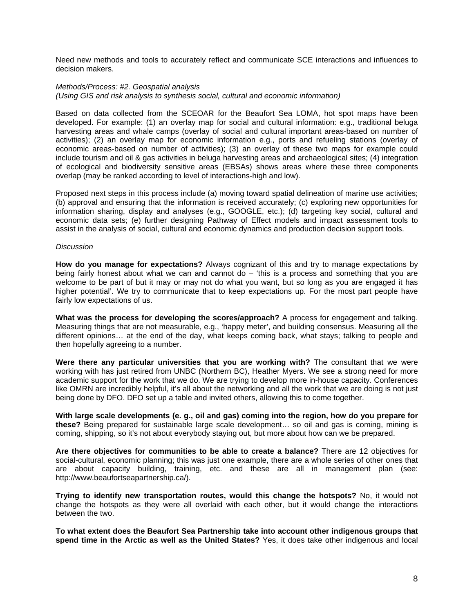Need new methods and tools to accurately reflect and communicate SCE interactions and influences to decision makers.

#### *Methods/Process: #2. Geospatial analysis (Using GIS and risk analysis to synthesis social, cultural and economic information)*

Based on data collected from the SCEOAR for the Beaufort Sea LOMA, hot spot maps have been developed. For example: (1) an overlay map for social and cultural information: e.g., traditional beluga harvesting areas and whale camps (overlay of social and cultural important areas-based on number of activities); (2) an overlay map for economic information e.g., ports and refueling stations (overlay of economic areas-based on number of activities); (3) an overlay of these two maps for example could include tourism and oil & gas activities in beluga harvesting areas and archaeological sites; (4) integration of ecological and biodiversity sensitive areas (EBSAs) shows areas where these three components overlap (may be ranked according to level of interactions-high and low).

Proposed next steps in this process include (a) moving toward spatial delineation of marine use activities; (b) approval and ensuring that the information is received accurately; (c) exploring new opportunities for information sharing, display and analyses (e.g., GOOGLE, etc.); (d) targeting key social, cultural and economic data sets; (e) further designing Pathway of Effect models and impact assessment tools to assist in the analysis of social, cultural and economic dynamics and production decision support tools.

#### *Discussion*

**How do you manage for expectations?** Always cognizant of this and try to manage expectations by being fairly honest about what we can and cannot do – 'this is a process and something that you are welcome to be part of but it may or may not do what you want, but so long as you are engaged it has higher potential'. We try to communicate that to keep expectations up. For the most part people have fairly low expectations of us.

**What was the process for developing the scores/approach?** A process for engagement and talking. Measuring things that are not measurable, e.g., 'happy meter', and building consensus. Measuring all the different opinions… at the end of the day, what keeps coming back, what stays; talking to people and then hopefully agreeing to a number.

**Were there any particular universities that you are working with?** The consultant that we were working with has just retired from UNBC (Northern BC). Heather Myers. We see a strong need for more academic support for the work that we do. We are trying to develop more in-house capacity. Conferences like OMRN are incredibly helpful, it's all about the networking and all the work that we are doing is not just being done by DFO. DFO set up a table and invited others, allowing this to come together.

**With large scale developments (e. g., oil and gas) coming into the region, how do you prepare for these?** Being prepared for sustainable large scale development… so oil and gas is coming, mining is coming, shipping, so it's not about everybody staying out, but more about how can we be prepared.

**Are there objectives for communities to be able to create a balance?** There are 12 objectives for social-cultural, economic planning; this was just one example, there are a whole series of other ones that are about capacity building, training, etc. and these are all in management plan (see: http://www.beaufortseapartnership.ca/).

**Trying to identify new transportation routes, would this change the hotspots?** No, it would not change the hotspots as they were all overlaid with each other, but it would change the interactions between the two.

**To what extent does the Beaufort Sea Partnership take into account other indigenous groups that spend time in the Arctic as well as the United States?** Yes, it does take other indigenous and local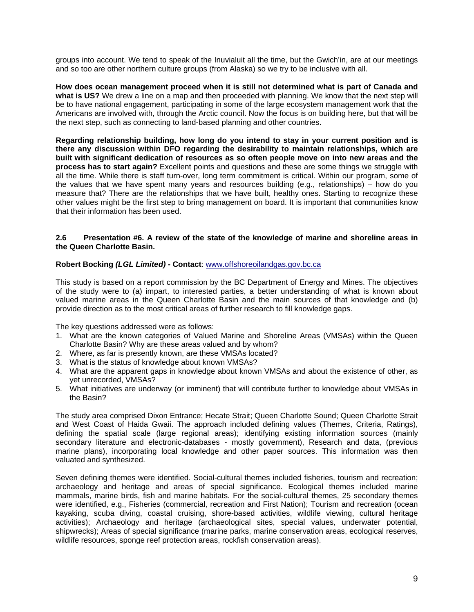groups into account. We tend to speak of the Inuvialuit all the time, but the Gwich'in, are at our meetings and so too are other northern culture groups (from Alaska) so we try to be inclusive with all.

**How does ocean management proceed when it is still not determined what is part of Canada and what is US?** We drew a line on a map and then proceeded with planning. We know that the next step will be to have national engagement, participating in some of the large ecosystem management work that the Americans are involved with, through the Arctic council. Now the focus is on building here, but that will be the next step, such as connecting to land-based planning and other countries.

**Regarding relationship building, how long do you intend to stay in your current position and is there any discussion within DFO regarding the desirability to maintain relationships, which are built with significant dedication of resources as so often people move on into new areas and the process has to start again?** Excellent points and questions and these are some things we struggle with all the time. While there is staff turn-over, long term commitment is critical. Within our program, some of the values that we have spent many years and resources building (e.g., relationships) – how do you measure that? There are the relationships that we have built, healthy ones. Starting to recognize these other values might be the first step to bring management on board. It is important that communities know that their information has been used.

#### **2.6 Presentation #6. A review of the state of the knowledge of marine and shoreline areas in the Queen Charlotte Basin.**

#### **Robert Bocking** *(LGL Limited) -* **Contact**: [www.offshoreoilandgas.gov.bc.ca](http://www.offshoreoilandgas.gov.bc.ca/)

This study is based on a report commission by the BC Department of Energy and Mines. The objectives of the study were to (a) impart, to interested parties, a better understanding of what is known about valued marine areas in the Queen Charlotte Basin and the main sources of that knowledge and (b) provide direction as to the most critical areas of further research to fill knowledge gaps.

The key questions addressed were as follows:

- 1. What are the known categories of Valued Marine and Shoreline Areas (VMSAs) within the Queen Charlotte Basin? Why are these areas valued and by whom?
- 2. Where, as far is presently known, are these VMSAs located?
- 3. What is the status of knowledge about known VMSAs?
- 4. What are the apparent gaps in knowledge about known VMSAs and about the existence of other, as yet unrecorded, VMSAs?
- 5. What initiatives are underway (or imminent) that will contribute further to knowledge about VMSAs in the Basin?

The study area comprised Dixon Entrance; Hecate Strait; Queen Charlotte Sound; Queen Charlotte Strait and West Coast of Haida Gwaii. The approach included defining values (Themes, Criteria, Ratings), defining the spatial scale (large regional areas); identifying existing information sources (mainly secondary literature and electronic-databases - mostly government), Research and data, (previous marine plans), incorporating local knowledge and other paper sources. This information was then valuated and synthesized.

Seven defining themes were identified. Social-cultural themes included fisheries, tourism and recreation; archaeology and heritage and areas of special significance. Ecological themes included marine mammals, marine birds, fish and marine habitats. For the social-cultural themes, 25 secondary themes were identified, e.g., Fisheries (commercial, recreation and First Nation); Tourism and recreation (ocean kayaking, scuba diving, coastal cruising, shore-based activities, wildlife viewing, cultural heritage activities); Archaeology and heritage (archaeological sites, special values, underwater potential, shipwrecks); Areas of special significance (marine parks, marine conservation areas, ecological reserves, wildlife resources, sponge reef protection areas, rockfish conservation areas).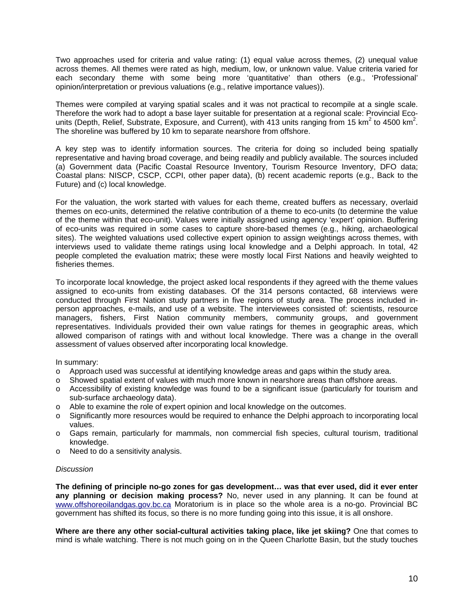Two approaches used for criteria and value rating: (1) equal value across themes, (2) unequal value across themes. All themes were rated as high, medium, low, or unknown value. Value criteria varied for each secondary theme with some being more 'quantitative' than others (e.g., 'Professional' opinion/interpretation or previous valuations (e.g., relative importance values)).

Themes were compiled at varying spatial scales and it was not practical to recompile at a single scale. Therefore the work had to adopt a base layer suitable for presentation at a regional scale: Provincial Ecounits (Depth, Relief, Substrate, Exposure, and Current), with 413 units ranging from 15 km<sup>2</sup> to 4500 km<sup>2</sup>. The shoreline was buffered by 10 km to separate nearshore from offshore.

A key step was to identify information sources. The criteria for doing so included being spatially representative and having broad coverage, and being readily and publicly available. The sources included (a) Government data (Pacific Coastal Resource Inventory, Tourism Resource Inventory, DFO data; Coastal plans: NISCP, CSCP, CCPI, other paper data), (b) recent academic reports (e.g., Back to the Future) and (c) local knowledge.

For the valuation, the work started with values for each theme, created buffers as necessary, overlaid themes on eco-units, determined the relative contribution of a theme to eco-units (to determine the value of the theme within that eco-unit). Values were initially assigned using agency 'expert' opinion. Buffering of eco-units was required in some cases to capture shore-based themes (e.g., hiking, archaeological sites). The weighted valuations used collective expert opinion to assign weightings across themes, with interviews used to validate theme ratings using local knowledge and a Delphi approach. In total, 42 people completed the evaluation matrix; these were mostly local First Nations and heavily weighted to fisheries themes.

To incorporate local knowledge, the project asked local respondents if they agreed with the theme values assigned to eco-units from existing databases. Of the 314 persons contacted, 68 interviews were conducted through First Nation study partners in five regions of study area. The process included inperson approaches, e-mails, and use of a website. The interviewees consisted of: scientists, resource managers, fishers, First Nation community members, community groups, and government representatives. Individuals provided their own value ratings for themes in geographic areas, which allowed comparison of ratings with and without local knowledge. There was a change in the overall assessment of values observed after incorporating local knowledge.

In summary:

- o Approach used was successful at identifying knowledge areas and gaps within the study area.
- o Showed spatial extent of values with much more known in nearshore areas than offshore areas.
- o Accessibility of existing knowledge was found to be a significant issue (particularly for tourism and sub-surface archaeology data).
- o Able to examine the role of expert opinion and local knowledge on the outcomes.
- o Significantly more resources would be required to enhance the Delphi approach to incorporating local values.
- o Gaps remain, particularly for mammals, non commercial fish species, cultural tourism, traditional knowledge.
- o Need to do a sensitivity analysis.

#### *Discussion*

**The defining of principle no-go zones for gas development… was that ever used, did it ever enter any planning or decision making process?** No, never used in any planning. It can be found at [www.offshoreoilandgas.gov.bc.ca](http://www.offshoreoilandgas.gov.bc.ca/) Moratorium is in place so the whole area is a no-go. Provincial BC government has shifted its focus, so there is no more funding going into this issue, it is all onshore.

**Where are there any other social-cultural activities taking place, like jet skiing?** One that comes to mind is whale watching. There is not much going on in the Queen Charlotte Basin, but the study touches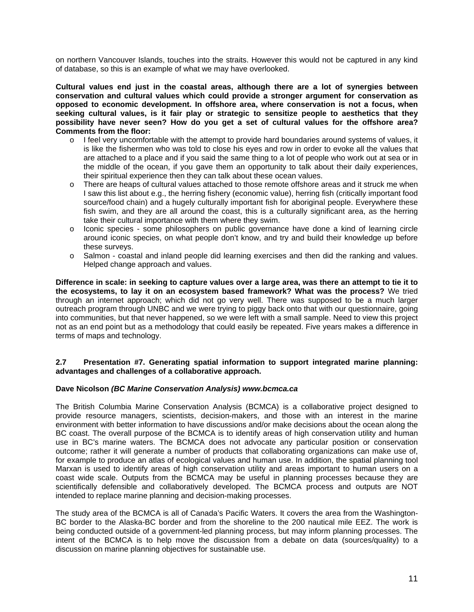on northern Vancouver Islands, touches into the straits. However this would not be captured in any kind of database, so this is an example of what we may have overlooked.

**Cultural values end just in the coastal areas, although there are a lot of synergies between conservation and cultural values which could provide a stronger argument for conservation as opposed to economic development. In offshore area, where conservation is not a focus, when seeking cultural values, is it fair play or strategic to sensitize people to aesthetics that they possibility have never seen? How do you get a set of cultural values for the offshore area? Comments from the floor:** 

- o I feel very uncomfortable with the attempt to provide hard boundaries around systems of values, it is like the fishermen who was told to close his eyes and row in order to evoke all the values that are attached to a place and if you said the same thing to a lot of people who work out at sea or in the middle of the ocean, if you gave them an opportunity to talk about their daily experiences, their spiritual experience then they can talk about these ocean values.
- o There are heaps of cultural values attached to those remote offshore areas and it struck me when I saw this list about e.g., the herring fishery (economic value), herring fish (critically important food source/food chain) and a hugely culturally important fish for aboriginal people. Everywhere these fish swim, and they are all around the coast, this is a culturally significant area, as the herring take their cultural importance with them where they swim.
- o Iconic species some philosophers on public governance have done a kind of learning circle around iconic species, on what people don't know, and try and build their knowledge up before these surveys.
- o Salmon coastal and inland people did learning exercises and then did the ranking and values. Helped change approach and values.

**Difference in scale: in seeking to capture values over a large area, was there an attempt to tie it to the ecosystems, to lay it on an ecosystem based framework? What was the process?** We tried through an internet approach; which did not go very well. There was supposed to be a much larger outreach program through UNBC and we were trying to piggy back onto that with our questionnaire, going into communities, but that never happened, so we were left with a small sample. Need to view this project not as an end point but as a methodology that could easily be repeated. Five years makes a difference in terms of maps and technology.

#### **2.7 Presentation #7. Generating spatial information to support integrated marine planning: advantages and challenges of a collaborative approach.**

#### **Dave Nicolson** *(BC Marine Conservation Analysis) www.bcmca.ca*

The British Columbia Marine Conservation Analysis (BCMCA) is a collaborative project designed to provide resource managers, scientists, decision-makers, and those with an interest in the marine environment with better information to have discussions and/or make decisions about the ocean along the BC coast. The overall purpose of the BCMCA is to identify areas of high conservation utility and human use in BC's marine waters. The BCMCA does not advocate any particular position or conservation outcome; rather it will generate a number of products that collaborating organizations can make use of, for example to produce an atlas of ecological values and human use. In addition, the spatial planning tool Marxan is used to identify areas of high conservation utility and areas important to human users on a coast wide scale. Outputs from the BCMCA may be useful in planning processes because they are scientifically defensible and collaboratively developed. The BCMCA process and outputs are NOT intended to replace marine planning and decision-making processes.

The study area of the BCMCA is all of Canada's Pacific Waters. It covers the area from the Washington-BC border to the Alaska-BC border and from the shoreline to the 200 nautical mile EEZ. The work is being conducted outside of a government-led planning process, but may inform planning processes. The intent of the BCMCA is to help move the discussion from a debate on data (sources/quality) to a discussion on marine planning objectives for sustainable use.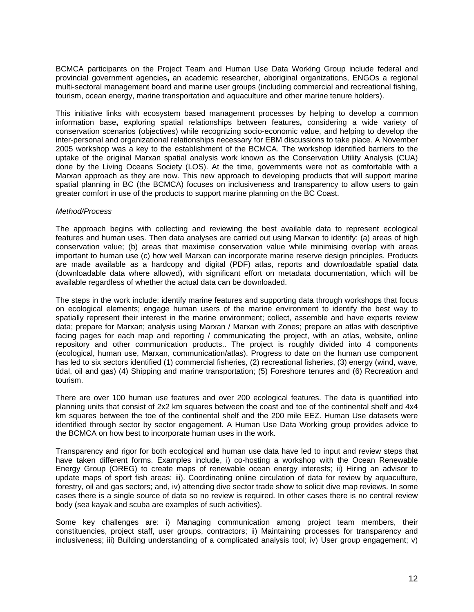BCMCA participants on the Project Team and Human Use Data Working Group include federal and provincial government agencies**,** an academic researcher, aboriginal organizations, ENGOs a regional multi-sectoral management board and marine user groups (including commercial and recreational fishing, tourism, ocean energy, marine transportation and aquaculture and other marine tenure holders).

This initiative links with ecosystem based management processes by helping to develop a common information base**,** exploring spatial relationships between features**,** considering a wide variety of conservation scenarios (objectives) while recognizing socio-economic value, and helping to develop the inter-personal and organizational relationships necessary for EBM discussions to take place. A November 2005 workshop was a key to the establishment of the BCMCA. The workshop identified barriers to the uptake of the original Marxan spatial analysis work known as the Conservation Utility Analysis (CUA) done by the Living Oceans Society (LOS). At the time, governments were not as comfortable with a Marxan approach as they are now. This new approach to developing products that will support marine spatial planning in BC (the BCMCA) focuses on inclusiveness and transparency to allow users to gain greater comfort in use of the products to support marine planning on the BC Coast.

#### *Method/Process*

The approach begins with collecting and reviewing the best available data to represent ecological features and human uses. Then data analyses are carried out using Marxan to identify: (a) areas of high conservation value; (b) areas that maximise conservation value while minimising overlap with areas important to human use (c) how well Marxan can incorporate marine reserve design principles. Products are made available as a hardcopy and digital (PDF) atlas, reports and downloadable spatial data (downloadable data where allowed), with significant effort on metadata documentation, which will be available regardless of whether the actual data can be downloaded.

The steps in the work include: identify marine features and supporting data through workshops that focus on ecological elements; engage human users of the marine environment to identify the best way to spatially represent their interest in the marine environment; collect, assemble and have experts review data; prepare for Marxan; analysis using Marxan / Marxan with Zones; prepare an atlas with descriptive facing pages for each map and reporting / communicating the project, with an atlas, website, online repository and other communication products.. The project is roughly divided into 4 components (ecological, human use, Marxan, communication/atlas). Progress to date on the human use component has led to six sectors identified (1) commercial fisheries, (2) recreational fisheries, (3) energy (wind, wave, tidal, oil and gas) (4) Shipping and marine transportation; (5) Foreshore tenures and (6) Recreation and tourism.

There are over 100 human use features and over 200 ecological features. The data is quantified into planning units that consist of 2x2 km squares between the coast and toe of the continental shelf and 4x4 km squares between the toe of the continental shelf and the 200 mile EEZ. Human Use datasets were identified through sector by sector engagement. A Human Use Data Working group provides advice to the BCMCA on how best to incorporate human uses in the work.

Transparency and rigor for both ecological and human use data have led to input and review steps that have taken different forms. Examples include, i) co-hosting a workshop with the Ocean Renewable Energy Group (OREG) to create maps of renewable ocean energy interests; ii) Hiring an advisor to update maps of sport fish areas; iii). Coordinating online circulation of data for review by aquaculture, forestry, oil and gas sectors; and, iv) attending dive sector trade show to solicit dive map reviews. In some cases there is a single source of data so no review is required. In other cases there is no central review body (sea kayak and scuba are examples of such activities).

Some key challenges are: i) Managing communication among project team members, their constituencies, project staff, user groups, contractors; ii) Maintaining processes for transparency and inclusiveness; iii) Building understanding of a complicated analysis tool; iv) User group engagement; v)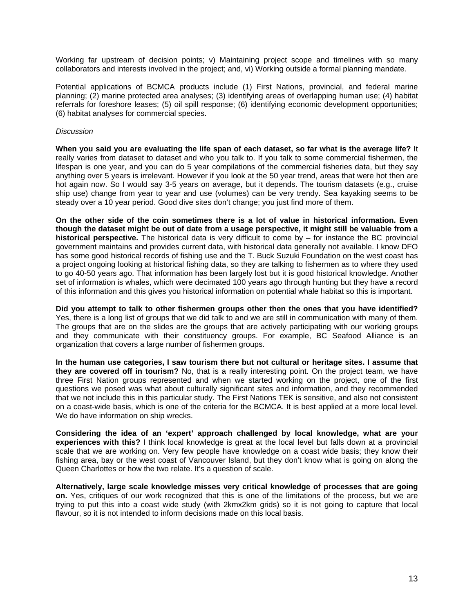Working far upstream of decision points; v) Maintaining project scope and timelines with so many collaborators and interests involved in the project; and, vi) Working outside a formal planning mandate.

Potential applications of BCMCA products include (1) First Nations, provincial, and federal marine planning; (2) marine protected area analyses; (3) identifying areas of overlapping human use; (4) habitat referrals for foreshore leases; (5) oil spill response; (6) identifying economic development opportunities; (6) habitat analyses for commercial species.

#### *Discussion*

**When you said you are evaluating the life span of each dataset, so far what is the average life?** It really varies from dataset to dataset and who you talk to. If you talk to some commercial fishermen, the lifespan is one year, and you can do 5 year compilations of the commercial fisheries data, but they say anything over 5 years is irrelevant. However if you look at the 50 year trend, areas that were hot then are hot again now. So I would say 3-5 years on average, but it depends. The tourism datasets (e.g., cruise ship use) change from year to year and use (volumes) can be very trendy. Sea kayaking seems to be steady over a 10 year period. Good dive sites don't change; you just find more of them.

**On the other side of the coin sometimes there is a lot of value in historical information. Even though the dataset might be out of date from a usage perspective, it might still be valuable from a historical perspective.** The historical data is very difficult to come by – for instance the BC provincial government maintains and provides current data, with historical data generally not available. I know DFO has some good historical records of fishing use and the T. Buck Suzuki Foundation on the west coast has a project ongoing looking at historical fishing data, so they are talking to fishermen as to where they used to go 40-50 years ago. That information has been largely lost but it is good historical knowledge. Another set of information is whales, which were decimated 100 years ago through hunting but they have a record of this information and this gives you historical information on potential whale habitat so this is important.

**Did you attempt to talk to other fishermen groups other then the ones that you have identified?**  Yes, there is a long list of groups that we did talk to and we are still in communication with many of them. The groups that are on the slides are the groups that are actively participating with our working groups and they communicate with their constituency groups. For example, BC Seafood Alliance is an organization that covers a large number of fishermen groups.

**In the human use categories, I saw tourism there but not cultural or heritage sites. I assume that they are covered off in tourism?** No, that is a really interesting point. On the project team, we have three First Nation groups represented and when we started working on the project, one of the first questions we posed was what about culturally significant sites and information, and they recommended that we not include this in this particular study. The First Nations TEK is sensitive, and also not consistent on a coast-wide basis, which is one of the criteria for the BCMCA. It is best applied at a more local level. We do have information on ship wrecks.

**Considering the idea of an 'expert' approach challenged by local knowledge, what are your experiences with this?** I think local knowledge is great at the local level but falls down at a provincial scale that we are working on. Very few people have knowledge on a coast wide basis; they know their fishing area, bay or the west coast of Vancouver Island, but they don't know what is going on along the Queen Charlottes or how the two relate. It's a question of scale.

**Alternatively, large scale knowledge misses very critical knowledge of processes that are going on.** Yes, critiques of our work recognized that this is one of the limitations of the process, but we are trying to put this into a coast wide study (with 2kmx2km grids) so it is not going to capture that local flavour, so it is not intended to inform decisions made on this local basis.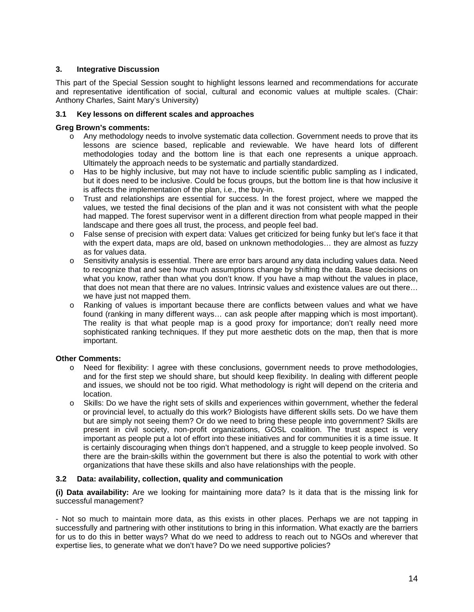#### **3. Integrative Discussion**

This part of the Special Session sought to highlight lessons learned and recommendations for accurate and representative identification of social, cultural and economic values at multiple scales. (Chair: Anthony Charles, Saint Mary's University)

#### **3.1 Key lessons on different scales and approaches**

#### **Greg Brown's comments:**

- o Any methodology needs to involve systematic data collection. Government needs to prove that its lessons are science based, replicable and reviewable. We have heard lots of different methodologies today and the bottom line is that each one represents a unique approach. Ultimately the approach needs to be systematic and partially standardized.
- o Has to be highly inclusive, but may not have to include scientific public sampling as I indicated, but it does need to be inclusive. Could be focus groups, but the bottom line is that how inclusive it is affects the implementation of the plan, i.e., the buy-in.
- o Trust and relationships are essential for success. In the forest project, where we mapped the values, we tested the final decisions of the plan and it was not consistent with what the people had mapped. The forest supervisor went in a different direction from what people mapped in their landscape and there goes all trust, the process, and people feel bad.
- o False sense of precision with expert data: Values get criticized for being funky but let's face it that with the expert data, maps are old, based on unknown methodologies… they are almost as fuzzy as for values data.
- $\circ$  Sensitivity analysis is essential. There are error bars around any data including values data. Need to recognize that and see how much assumptions change by shifting the data. Base decisions on what you know, rather than what you don't know. If you have a map without the values in place, that does not mean that there are no values. Intrinsic values and existence values are out there… we have just not mapped them.
- o Ranking of values is important because there are conflicts between values and what we have found (ranking in many different ways… can ask people after mapping which is most important). The reality is that what people map is a good proxy for importance; don't really need more sophisticated ranking techniques. If they put more aesthetic dots on the map, then that is more important.

#### **Other Comments:**

- o Need for flexibility: I agree with these conclusions, government needs to prove methodologies, and for the first step we should share, but should keep flexibility. In dealing with different people and issues, we should not be too rigid. What methodology is right will depend on the criteria and location.
- o Skills: Do we have the right sets of skills and experiences within government, whether the federal or provincial level, to actually do this work? Biologists have different skills sets. Do we have them but are simply not seeing them? Or do we need to bring these people into government? Skills are present in civil society, non-profit organizations, GOSL coalition. The trust aspect is very important as people put a lot of effort into these initiatives and for communities it is a time issue. It is certainly discouraging when things don't happened, and a struggle to keep people involved. So there are the brain-skills within the government but there is also the potential to work with other organizations that have these skills and also have relationships with the people.

#### **3.2 Data: availability, collection, quality and communication**

**(i) Data availability:** Are we looking for maintaining more data? Is it data that is the missing link for successful management?

- Not so much to maintain more data, as this exists in other places. Perhaps we are not tapping in successfully and partnering with other institutions to bring in this information. What exactly are the barriers for us to do this in better ways? What do we need to address to reach out to NGOs and wherever that expertise lies, to generate what we don't have? Do we need supportive policies?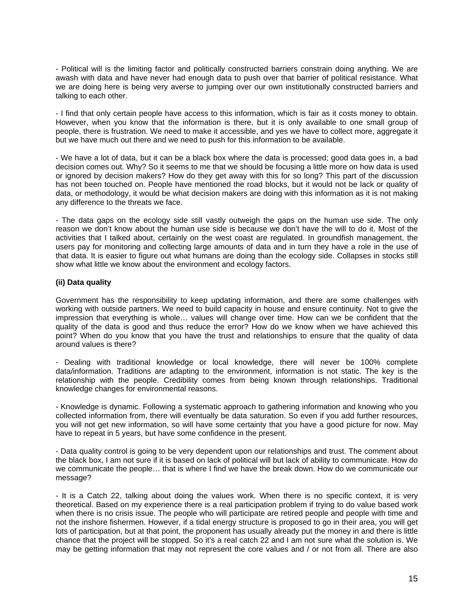- Political will is the limiting factor and politically constructed barriers constrain doing anything. We are awash with data and have never had enough data to push over that barrier of political resistance. What we are doing here is being very averse to jumping over our own institutionally constructed barriers and talking to each other.

- I find that only certain people have access to this information, which is fair as it costs money to obtain. However, when you know that the information is there, but it is only available to one small group of people, there is frustration. We need to make it accessible, and yes we have to collect more, aggregate it but we have much out there and we need to push for this information to be available.

- We have a lot of data, but it can be a black box where the data is processed; good data goes in, a bad decision comes out. Why? So it seems to me that we should be focusing a little more on how data is used or ignored by decision makers? How do they get away with this for so long? This part of the discussion has not been touched on. People have mentioned the road blocks, but it would not be lack or quality of data, or methodology, it would be what decision makers are doing with this information as it is not making any difference to the threats we face.

- The data gaps on the ecology side still vastly outweigh the gaps on the human use side. The only reason we don't know about the human use side is because we don't have the will to do it. Most of the activities that I talked about, certainly on the west coast are regulated. In groundfish management, the users pay for monitoring and collecting large amounts of data and in turn they have a role in the use of that data. It is easier to figure out what humans are doing than the ecology side. Collapses in stocks still show what little we know about the environment and ecology factors.

#### **(ii) Data quality**

Government has the responsibility to keep updating information, and there are some challenges with working with outside partners. We need to build capacity in house and ensure continuity. Not to give the impression that everything is whole… values will change over time. How can we be confident that the quality of the data is good and thus reduce the error? How do we know when we have achieved this point? When do you know that you have the trust and relationships to ensure that the quality of data around values is there?

- Dealing with traditional knowledge or local knowledge, there will never be 100% complete data/information. Traditions are adapting to the environment, information is not static. The key is the relationship with the people. Credibility comes from being known through relationships. Traditional knowledge changes for environmental reasons.

- Knowledge is dynamic. Following a systematic approach to gathering information and knowing who you collected information from, there will eventually be data saturation. So even if you add further resources, you will not get new information, so will have some certainty that you have a good picture for now. May have to repeat in 5 years, but have some confidence in the present.

- Data quality control is going to be very dependent upon our relationships and trust. The comment about the black box, I am not sure if it is based on lack of political will but lack of ability to communicate. How do we communicate the people… that is where I find we have the break down. How do we communicate our message?

- It is a Catch 22, talking about doing the values work. When there is no specific context, it is very theoretical. Based on my experience there is a real participation problem if trying to do value based work when there is no crisis issue. The people who will participate are retired people and people with time and not the inshore fishermen. However, if a tidal energy structure is proposed to go in their area, you will get lots of participation, but at that point, the proponent has usually already put the money in and there is little chance that the project will be stopped. So it's a real catch 22 and I am not sure what the solution is. We may be getting information that may not represent the core values and / or not from all. There are also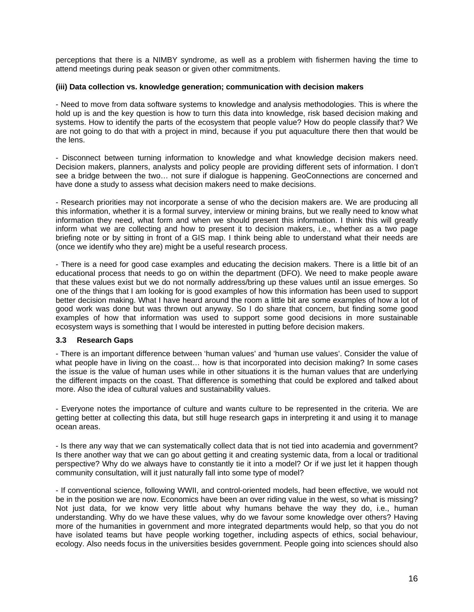perceptions that there is a NIMBY syndrome, as well as a problem with fishermen having the time to attend meetings during peak season or given other commitments.

#### **(iii) Data collection vs. knowledge generation; communication with decision makers**

- Need to move from data software systems to knowledge and analysis methodologies. This is where the hold up is and the key question is how to turn this data into knowledge, risk based decision making and systems. How to identify the parts of the ecosystem that people value? How do people classify that? We are not going to do that with a project in mind, because if you put aquaculture there then that would be the lens.

- Disconnect between turning information to knowledge and what knowledge decision makers need. Decision makers, planners, analysts and policy people are providing different sets of information. I don't see a bridge between the two… not sure if dialogue is happening. GeoConnections are concerned and have done a study to assess what decision makers need to make decisions.

- Research priorities may not incorporate a sense of who the decision makers are. We are producing all this information, whether it is a formal survey, interview or mining brains, but we really need to know what information they need, what form and when we should present this information. I think this will greatly inform what we are collecting and how to present it to decision makers, i.e., whether as a two page briefing note or by sitting in front of a GIS map. I think being able to understand what their needs are (once we identify who they are) might be a useful research process.

- There is a need for good case examples and educating the decision makers. There is a little bit of an educational process that needs to go on within the department (DFO). We need to make people aware that these values exist but we do not normally address/bring up these values until an issue emerges. So one of the things that I am looking for is good examples of how this information has been used to support better decision making. What I have heard around the room a little bit are some examples of how a lot of good work was done but was thrown out anyway. So I do share that concern, but finding some good examples of how that information was used to support some good decisions in more sustainable ecosystem ways is something that I would be interested in putting before decision makers.

#### **3.3 Research Gaps**

- There is an important difference between 'human values' and 'human use values'. Consider the value of what people have in living on the coast… how is that incorporated into decision making? In some cases the issue is the value of human uses while in other situations it is the human values that are underlying the different impacts on the coast. That difference is something that could be explored and talked about more. Also the idea of cultural values and sustainability values.

- Everyone notes the importance of culture and wants culture to be represented in the criteria. We are getting better at collecting this data, but still huge research gaps in interpreting it and using it to manage ocean areas.

- Is there any way that we can systematically collect data that is not tied into academia and government? Is there another way that we can go about getting it and creating systemic data, from a local or traditional perspective? Why do we always have to constantly tie it into a model? Or if we just let it happen though community consultation, will it just naturally fall into some type of model?

- If conventional science, following WWII, and control-oriented models, had been effective, we would not be in the position we are now. Economics have been an over riding value in the west, so what is missing? Not just data, for we know very little about why humans behave the way they do, i.e., human understanding. Why do we have these values, why do we favour some knowledge over others? Having more of the humanities in government and more integrated departments would help, so that you do not have isolated teams but have people working together, including aspects of ethics, social behaviour, ecology. Also needs focus in the universities besides government. People going into sciences should also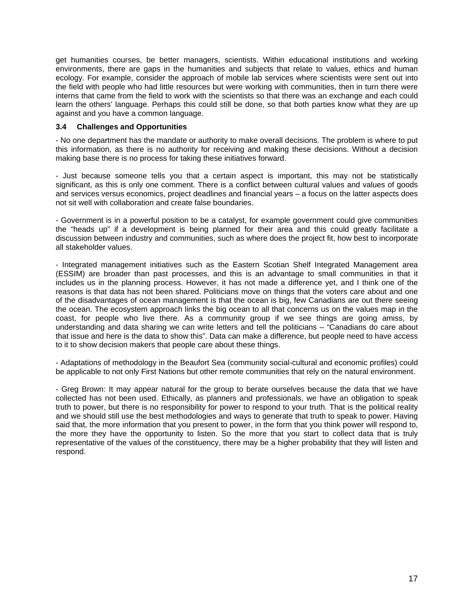get humanities courses, be better managers, scientists. Within educational institutions and working environments, there are gaps in the humanities and subjects that relate to values, ethics and human ecology. For example, consider the approach of mobile lab services where scientists were sent out into the field with people who had little resources but were working with communities, then in turn there were interns that came from the field to work with the scientists so that there was an exchange and each could learn the others' language. Perhaps this could still be done, so that both parties know what they are up against and you have a common language.

#### **3.4 Challenges and Opportunities**

- No one department has the mandate or authority to make overall decisions. The problem is where to put this information, as there is no authority for receiving and making these decisions. Without a decision making base there is no process for taking these initiatives forward.

- Just because someone tells you that a certain aspect is important, this may not be statistically significant, as this is only one comment. There is a conflict between cultural values and values of goods and services versus economics, project deadlines and financial years – a focus on the latter aspects does not sit well with collaboration and create false boundaries.

- Government is in a powerful position to be a catalyst, for example government could give communities the "heads up" if a development is being planned for their area and this could greatly facilitate a discussion between industry and communities, such as where does the project fit, how best to incorporate all stakeholder values.

- Integrated management initiatives such as the Eastern Scotian Shelf Integrated Management area (ESSIM) are broader than past processes, and this is an advantage to small communities in that it includes us in the planning process. However, it has not made a difference yet, and I think one of the reasons is that data has not been shared. Politicians move on things that the voters care about and one of the disadvantages of ocean management is that the ocean is big, few Canadians are out there seeing the ocean. The ecosystem approach links the big ocean to all that concerns us on the values map in the coast, for people who live there. As a community group if we see things are going amiss, by understanding and data sharing we can write letters and tell the politicians – "Canadians do care about that issue and here is the data to show this". Data can make a difference, but people need to have access to it to show decision makers that people care about these things.

- Adaptations of methodology in the Beaufort Sea (community social-cultural and economic profiles) could be applicable to not only First Nations but other remote communities that rely on the natural environment.

- Greg Brown: It may appear natural for the group to berate ourselves because the data that we have collected has not been used. Ethically, as planners and professionals, we have an obligation to speak truth to power, but there is no responsibility for power to respond to your truth. That is the political reality and we should still use the best methodologies and ways to generate that truth to speak to power. Having said that, the more information that you present to power, in the form that you think power will respond to, the more they have the opportunity to listen. So the more that you start to collect data that is truly representative of the values of the constituency, there may be a higher probability that they will listen and respond.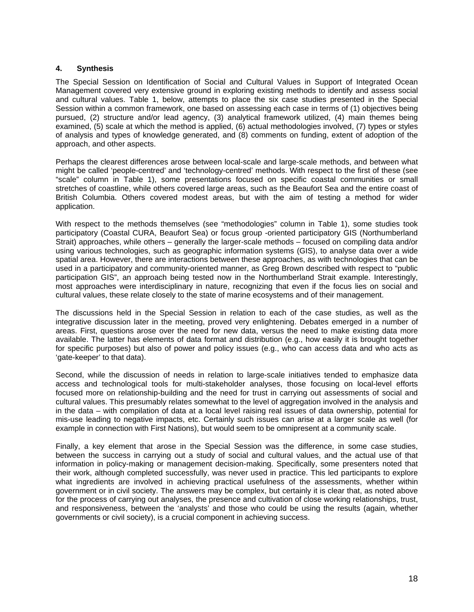#### **4. Synthesis**

The Special Session on Identification of Social and Cultural Values in Support of Integrated Ocean Management covered very extensive ground in exploring existing methods to identify and assess social and cultural values. Table 1, below, attempts to place the six case studies presented in the Special Session within a common framework, one based on assessing each case in terms of (1) objectives being pursued, (2) structure and/or lead agency, (3) analytical framework utilized, (4) main themes being examined, (5) scale at which the method is applied, (6) actual methodologies involved, (7) types or styles of analysis and types of knowledge generated, and (8) comments on funding, extent of adoption of the approach, and other aspects.

Perhaps the clearest differences arose between local-scale and large-scale methods, and between what might be called 'people-centred' and 'technology-centred' methods. With respect to the first of these (see "scale" column in Table 1), some presentations focused on specific coastal communities or small stretches of coastline, while others covered large areas, such as the Beaufort Sea and the entire coast of British Columbia. Others covered modest areas, but with the aim of testing a method for wider application.

With respect to the methods themselves (see "methodologies" column in Table 1), some studies took participatory (Coastal CURA, Beaufort Sea) or focus group -oriented participatory GIS (Northumberland Strait) approaches, while others – generally the larger-scale methods – focused on compiling data and/or using various technologies, such as geographic information systems (GIS), to analyse data over a wide spatial area. However, there are interactions between these approaches, as with technologies that can be used in a participatory and community-oriented manner, as Greg Brown described with respect to "public participation GIS", an approach being tested now in the Northumberland Strait example. Interestingly, most approaches were interdisciplinary in nature, recognizing that even if the focus lies on social and cultural values, these relate closely to the state of marine ecosystems and of their management.

The discussions held in the Special Session in relation to each of the case studies, as well as the integrative discussion later in the meeting, proved very enlightening. Debates emerged in a number of areas. First, questions arose over the need for new data, versus the need to make existing data more available. The latter has elements of data format and distribution (e.g., how easily it is brought together for specific purposes) but also of power and policy issues (e.g., who can access data and who acts as 'gate-keeper' to that data).

Second, while the discussion of needs in relation to large-scale initiatives tended to emphasize data access and technological tools for multi-stakeholder analyses, those focusing on local-level efforts focused more on relationship-building and the need for trust in carrying out assessments of social and cultural values. This presumably relates somewhat to the level of aggregation involved in the analysis and in the data – with compilation of data at a local level raising real issues of data ownership, potential for mis-use leading to negative impacts, etc. Certainly such issues can arise at a larger scale as well (for example in connection with First Nations), but would seem to be omnipresent at a community scale.

Finally, a key element that arose in the Special Session was the difference, in some case studies, between the success in carrying out a study of social and cultural values, and the actual use of that information in policy-making or management decision-making. Specifically, some presenters noted that their work, although completed successfully, was never used in practice. This led participants to explore what ingredients are involved in achieving practical usefulness of the assessments, whether within government or in civil society. The answers may be complex, but certainly it is clear that, as noted above for the process of carrying out analyses, the presence and cultivation of close working relationships, trust, and responsiveness, between the 'analysts' and those who could be using the results (again, whether governments or civil society), is a crucial component in achieving success.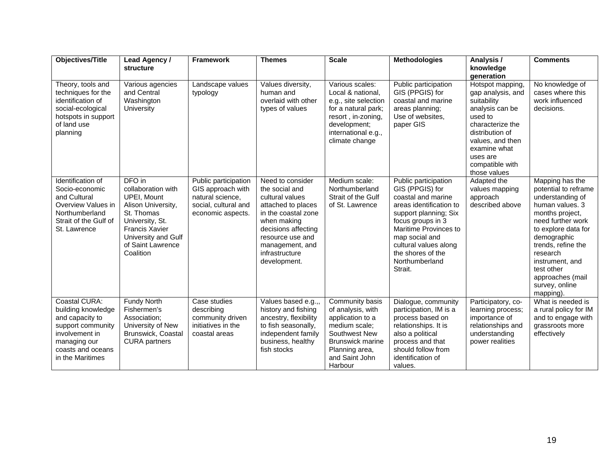| <b>Objectives/Title</b>                                                                                                                                | Lead Agency /<br>structure                                                                                                                                                                  | <b>Framework</b>                                                                                           | <b>Themes</b>                                                                                                                                                                                                     | <b>Scale</b>                                                                                                                                                         | <b>Methodologies</b>                                                                                                                                                                                                                                         | Analysis /<br>knowledge<br>generation                                                                                                                                                                        | <b>Comments</b>                                                                                                                                                                                                                                                                    |
|--------------------------------------------------------------------------------------------------------------------------------------------------------|---------------------------------------------------------------------------------------------------------------------------------------------------------------------------------------------|------------------------------------------------------------------------------------------------------------|-------------------------------------------------------------------------------------------------------------------------------------------------------------------------------------------------------------------|----------------------------------------------------------------------------------------------------------------------------------------------------------------------|--------------------------------------------------------------------------------------------------------------------------------------------------------------------------------------------------------------------------------------------------------------|--------------------------------------------------------------------------------------------------------------------------------------------------------------------------------------------------------------|------------------------------------------------------------------------------------------------------------------------------------------------------------------------------------------------------------------------------------------------------------------------------------|
| Theory, tools and<br>techniques for the<br>identification of<br>social-ecological<br>hotspots in support<br>of land use<br>planning                    | Various agencies<br>and Central<br>Washington<br>University                                                                                                                                 | Landscape values<br>typology                                                                               | Values diversity,<br>human and<br>overlaid with other<br>types of values                                                                                                                                          | Various scales:<br>Local & national,<br>e.g., site selection<br>for a natural park;<br>resort, in-zoning,<br>development;<br>international e.g.,<br>climate change   | Public participation<br>GIS (PPGIS) for<br>coastal and marine<br>areas planning;<br>Use of websites,<br>paper GIS                                                                                                                                            | Hotspot mapping,<br>gap analysis, and<br>suitability<br>analysis can be<br>used to<br>characterize the<br>distribution of<br>values, and then<br>examine what<br>uses are<br>compatible with<br>those values | No knowledge of<br>cases where this<br>work influenced<br>decisions.                                                                                                                                                                                                               |
| Identification of<br>Socio-economic<br>and Cultural<br>Overview Values in<br>Northumberland<br>Strait of the Gulf of<br>St. Lawrence                   | DFO in<br>collaboration with<br><b>UPEI, Mount</b><br>Alison University,<br>St. Thomas<br>University, St.<br><b>Francis Xavier</b><br>University and Gulf<br>of Saint Lawrence<br>Coalition | Public participation<br>GIS approach with<br>natural science.<br>social, cultural and<br>economic aspects. | Need to consider<br>the social and<br>cultural values<br>attached to places<br>in the coastal zone<br>when making<br>decisions affecting<br>resource use and<br>management, and<br>infrastructure<br>development. | Medium scale:<br>Northumberland<br>Strait of the Gulf<br>of St. Lawrence                                                                                             | Public participation<br>GIS (PPGIS) for<br>coastal and marine<br>areas identification to<br>support planning; Six<br>focus groups in 3<br>Maritime Provinces to<br>map social and<br>cultural values along<br>the shores of the<br>Northumberland<br>Strait. | Adapted the<br>values mapping<br>approach<br>described above                                                                                                                                                 | Mapping has the<br>potential to reframe<br>understanding of<br>human values, 3<br>months project,<br>need further work<br>to explore data for<br>demographic<br>trends, refine the<br>research<br>instrument, and<br>test other<br>approaches (mail<br>survey, online<br>mapping). |
| Coastal CURA:<br>building knowledge<br>and capacity to<br>support community<br>involvement in<br>managing our<br>coasts and oceans<br>in the Maritimes | Fundy North<br>Fishermen's<br>Association;<br>University of New<br>Brunswick, Coastal<br><b>CURA</b> partners                                                                               | Case studies<br>describing<br>community driven<br>initiatives in the<br>coastal areas                      | Values based e.g.,,<br>history and fishing<br>ancestry, flexibility<br>to fish seasonally,<br>independent family<br>business, healthy<br>fish stocks                                                              | Community basis<br>of analysis, with<br>application to a<br>medium scale;<br>Southwest New<br><b>Brunswick marine</b><br>Planning area,<br>and Saint John<br>Harbour | Dialogue, community<br>participation, IM is a<br>process based on<br>relationships. It is<br>also a political<br>process and that<br>should follow from<br>identification of<br>values.                                                                      | Participatory, co-<br>learning process;<br>importance of<br>relationships and<br>understanding<br>power realities                                                                                            | What is needed is<br>a rural policy for IM<br>and to engage with<br>grassroots more<br>effectively                                                                                                                                                                                 |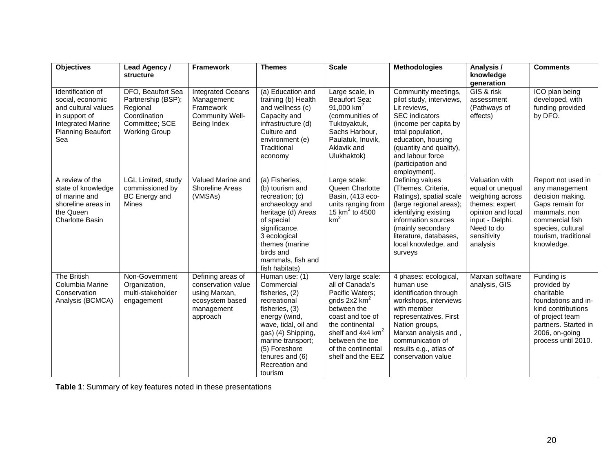| <b>Objectives</b>                                                                                                                            | Lead Agency /<br>structure                                                                                    | <b>Framework</b>                                                                                      | <b>Themes</b>                                                                                                                                                                                                                         | <b>Scale</b>                                                                                                                                                                                                                                | <b>Methodologies</b>                                                                                                                                                                                                                              | Analysis /<br>knowledge<br>generation                                                                                                                     | <b>Comments</b>                                                                                                                                                           |
|----------------------------------------------------------------------------------------------------------------------------------------------|---------------------------------------------------------------------------------------------------------------|-------------------------------------------------------------------------------------------------------|---------------------------------------------------------------------------------------------------------------------------------------------------------------------------------------------------------------------------------------|---------------------------------------------------------------------------------------------------------------------------------------------------------------------------------------------------------------------------------------------|---------------------------------------------------------------------------------------------------------------------------------------------------------------------------------------------------------------------------------------------------|-----------------------------------------------------------------------------------------------------------------------------------------------------------|---------------------------------------------------------------------------------------------------------------------------------------------------------------------------|
| Identification of<br>social, economic<br>and cultural values<br>in support of<br><b>Integrated Marine</b><br><b>Planning Beaufort</b><br>Sea | DFO, Beaufort Sea<br>Partnership (BSP);<br>Regional<br>Coordination<br>Committee; SCE<br><b>Working Group</b> | <b>Integrated Oceans</b><br>Management:<br>Framework<br>Community Well-<br>Being Index                | (a) Education and<br>training (b) Health<br>and wellness (c)<br>Capacity and<br>infrastructure (d)<br>Culture and<br>environment (e)<br>Traditional<br>economy                                                                        | Large scale, in<br>Beaufort Sea:<br>91,000 $km^2$<br>(communities of<br>Tuktoyaktuk,<br>Sachs Harbour,<br>Paulatuk, Inuvik,<br>Aklavik and<br>Ulukhaktok)                                                                                   | Community meetings,<br>pilot study, interviews,<br>Lit reviews.<br><b>SEC</b> indicators<br>(income per capita by<br>total population,<br>education, housing<br>(quantity and quality),<br>and labour force<br>(participation and<br>employment). | GIS & risk<br>assessment<br>(Pathways of<br>effects)                                                                                                      | ICO plan being<br>developed, with<br>funding provided<br>by DFO.                                                                                                          |
| A review of the<br>state of knowledge<br>of marine and<br>shoreline areas in<br>the Queen<br><b>Charlotte Basin</b>                          | LGL Limited, study<br>commissioned by<br><b>BC</b> Energy and<br><b>Mines</b>                                 | Valued Marine and<br><b>Shoreline Areas</b><br>(VMSAs)                                                | (a) Fisheries,<br>(b) tourism and<br>recreation; (c)<br>archaeology and<br>heritage (d) Areas<br>of special<br>significance.<br>3 ecological<br>themes (marine<br>birds and<br>mammals, fish and<br>fish habitats)                    | Large scale:<br>Queen Charlotte<br>Basin, (413 eco-<br>units ranging from<br>15 $km^2$ to 4500<br>km <sup>2</sup>                                                                                                                           | Defining values<br>(Themes, Criteria,<br>Ratings), spatial scale<br>(large regional areas);<br>identifying existing<br>information sources<br>(mainly secondary<br>literature, databases,<br>local knowledge, and<br>surveys                      | Valuation with<br>equal or unequal<br>weighting across<br>themes; expert<br>opinion and local<br>input - Delphi.<br>Need to do<br>sensitivity<br>analysis | Report not used in<br>any management<br>decision making.<br>Gaps remain for<br>mammals, non<br>commercial fish<br>species, cultural<br>tourism, traditional<br>knowledge. |
| <b>The British</b><br>Columbia Marine<br>Conservation<br>Analysis (BCMCA)                                                                    | Non-Government<br>Organization,<br>multi-stakeholder<br>engagement                                            | Defining areas of<br>conservation value<br>using Marxan,<br>ecosystem based<br>management<br>approach | Human use: (1)<br>Commercial<br>fisheries, (2)<br>recreational<br>fisheries, (3)<br>energy (wind,<br>wave, tidal, oil and<br>gas) (4) Shipping,<br>marine transport;<br>(5) Foreshore<br>tenures and (6)<br>Recreation and<br>tourism | Very large scale:<br>all of Canada's<br>Pacific Waters;<br>grids $2x2$ km <sup>2</sup><br>between the<br>coast and toe of<br>the continental<br>shelf and 4x4 km <sup>2</sup><br>between the toe<br>of the continental<br>shelf and the EEZ | 4 phases: ecological,<br>human use<br>identification through<br>workshops, interviews<br>with member<br>representatives, First<br>Nation groups,<br>Marxan analysis and,<br>communication of<br>results e.g., atlas of<br>conservation value      | Marxan software<br>analysis, GIS                                                                                                                          | Funding is<br>provided by<br>charitable<br>foundations and in-<br>kind contributions<br>of project team<br>partners. Started in<br>2006, on-going<br>process until 2010.  |

**Table 1**: Summary of key features noted in these presentations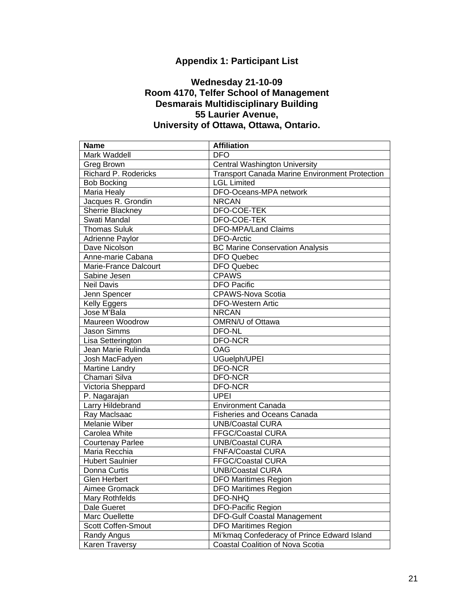## **Appendix 1: Participant List**

### **Wednesday 21-10-09 Room 4170, Telfer School of Management Desmarais Multidisciplinary Building 55 Laurier Avenue, University of Ottawa, Ottawa, Ontario.**

<span id="page-22-0"></span>

|                                                                                                       | <b>Name</b>             | <b>Affiliation</b>                                    |  |  |  |  |
|-------------------------------------------------------------------------------------------------------|-------------------------|-------------------------------------------------------|--|--|--|--|
| Mark Waddell                                                                                          |                         | <b>DFO</b>                                            |  |  |  |  |
| Greg Brown                                                                                            |                         | <b>Central Washington University</b>                  |  |  |  |  |
| Richard P. Rodericks                                                                                  |                         | <b>Transport Canada Marine Environment Protection</b> |  |  |  |  |
| <b>Bob Bocking</b>                                                                                    |                         | <b>LGL Limited</b>                                    |  |  |  |  |
|                                                                                                       | <b>Maria Healy</b>      | DFO-Oceans-MPA network                                |  |  |  |  |
|                                                                                                       | Jacques R. Grondin      | <b>NRCAN</b>                                          |  |  |  |  |
|                                                                                                       | Sherrie Blackney        | DFO-COE-TEK                                           |  |  |  |  |
|                                                                                                       | Swati Mandal            | DFO-COE-TEK                                           |  |  |  |  |
|                                                                                                       | Thomas Suluk            | <b>DFO-MPA/Land Claims</b>                            |  |  |  |  |
|                                                                                                       | Adrienne Paylor         | <b>DFO-Arctic</b>                                     |  |  |  |  |
|                                                                                                       | Dave Nicolson           | <b>BC Marine Conservation Analysis</b>                |  |  |  |  |
|                                                                                                       | Anne-marie Cabana       | <b>DFO Quebec</b>                                     |  |  |  |  |
|                                                                                                       | Marie-France Dalcourt   | DFO Quebec                                            |  |  |  |  |
|                                                                                                       | Sabine Jesen            | <b>CPAWS</b>                                          |  |  |  |  |
|                                                                                                       | <b>Neil Davis</b>       | <b>DFO Pacific</b>                                    |  |  |  |  |
|                                                                                                       | Jenn Spencer            | <b>CPAWS-Nova Scotia</b>                              |  |  |  |  |
|                                                                                                       | Kelly Eggers            | <b>DFO-Western Artic</b>                              |  |  |  |  |
|                                                                                                       | Jose M'Bala             | <b>NRCAN</b>                                          |  |  |  |  |
|                                                                                                       | Maureen Woodrow         | <b>OMRN/U of Ottawa</b>                               |  |  |  |  |
|                                                                                                       | Jason Simms             | DFO-NL                                                |  |  |  |  |
|                                                                                                       | Lisa Setterington       | <b>DFO-NCR</b>                                        |  |  |  |  |
|                                                                                                       | Jean Marie Rulinda      | <b>OAG</b>                                            |  |  |  |  |
|                                                                                                       | Josh MacFadyen          | UGuelph/UPEI                                          |  |  |  |  |
|                                                                                                       | Martine Landry          | <b>DFO-NCR</b>                                        |  |  |  |  |
|                                                                                                       | Chamari Silva           | <b>DFO-NCR</b>                                        |  |  |  |  |
|                                                                                                       | Victoria Sheppard       | <b>DFO-NCR</b>                                        |  |  |  |  |
|                                                                                                       | P. Nagarajan            | <b>UPEI</b>                                           |  |  |  |  |
|                                                                                                       | Larry Hildebrand        | <b>Environment Canada</b>                             |  |  |  |  |
|                                                                                                       | Ray MacIsaac            | <b>Fisheries and Oceans Canada</b>                    |  |  |  |  |
|                                                                                                       | Melanie Wiber           | <b>UNB/Coastal CURA</b>                               |  |  |  |  |
|                                                                                                       | Carolea White           | FFGC/Coastal CURA                                     |  |  |  |  |
|                                                                                                       | <b>Courtenay Parlee</b> | <b>UNB/Coastal CURA</b>                               |  |  |  |  |
|                                                                                                       | Maria Recchia           | <b>FNFA/Coastal CURA</b>                              |  |  |  |  |
|                                                                                                       | <b>Hubert Saulnier</b>  | FFGC/Coastal CURA                                     |  |  |  |  |
| Donna Curtis                                                                                          |                         | <b>UNB/Coastal CURA</b>                               |  |  |  |  |
|                                                                                                       | <b>Glen Herbert</b>     | <b>DFO Maritimes Region</b>                           |  |  |  |  |
| Aimee Gromack<br>Mary Rothfelds<br>Dale Gueret<br>Marc Ouellette<br>Scott Coffen-Smout<br>Randy Angus |                         | <b>DFO Maritimes Region</b>                           |  |  |  |  |
|                                                                                                       |                         | DFO-NHQ                                               |  |  |  |  |
|                                                                                                       |                         | <b>DFO-Pacific Region</b>                             |  |  |  |  |
|                                                                                                       |                         | <b>DFO-Gulf Coastal Management</b>                    |  |  |  |  |
|                                                                                                       |                         | <b>DFO Maritimes Region</b>                           |  |  |  |  |
|                                                                                                       |                         | Mi'kmaq Confederacy of Prince Edward Island           |  |  |  |  |
|                                                                                                       | Karen Traversy          | <b>Coastal Coalition of Nova Scotia</b>               |  |  |  |  |